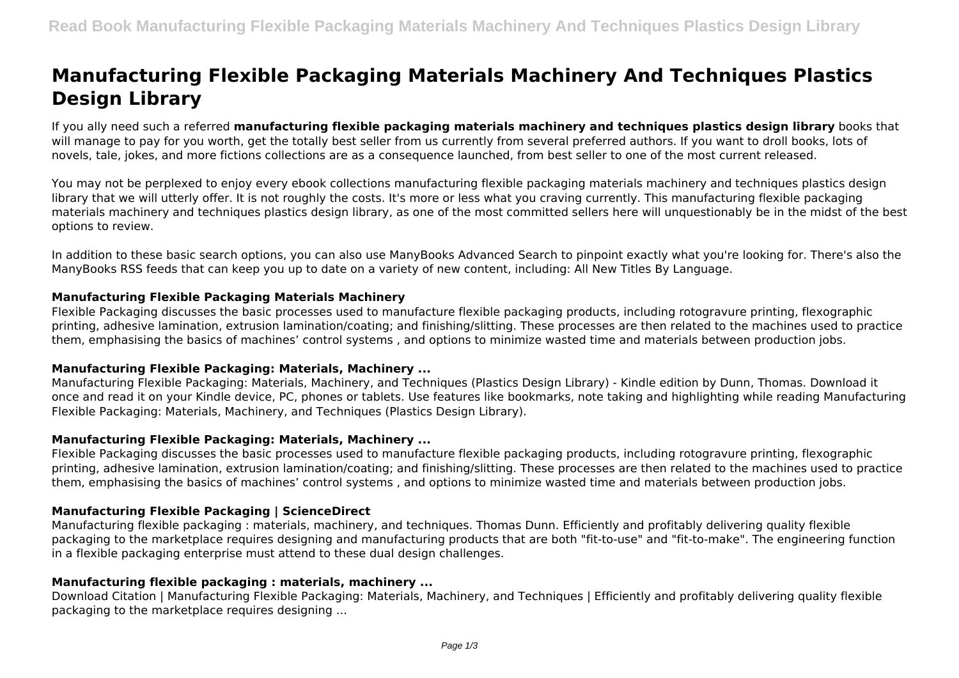# **Manufacturing Flexible Packaging Materials Machinery And Techniques Plastics Design Library**

If you ally need such a referred **manufacturing flexible packaging materials machinery and techniques plastics design library** books that will manage to pay for you worth, get the totally best seller from us currently from several preferred authors. If you want to droll books, lots of novels, tale, jokes, and more fictions collections are as a consequence launched, from best seller to one of the most current released.

You may not be perplexed to enjoy every ebook collections manufacturing flexible packaging materials machinery and techniques plastics design library that we will utterly offer. It is not roughly the costs. It's more or less what you craving currently. This manufacturing flexible packaging materials machinery and techniques plastics design library, as one of the most committed sellers here will unquestionably be in the midst of the best options to review.

In addition to these basic search options, you can also use ManyBooks Advanced Search to pinpoint exactly what you're looking for. There's also the ManyBooks RSS feeds that can keep you up to date on a variety of new content, including: All New Titles By Language.

## **Manufacturing Flexible Packaging Materials Machinery**

Flexible Packaging discusses the basic processes used to manufacture flexible packaging products, including rotogravure printing, flexographic printing, adhesive lamination, extrusion lamination/coating; and finishing/slitting. These processes are then related to the machines used to practice them, emphasising the basics of machines' control systems , and options to minimize wasted time and materials between production jobs.

## **Manufacturing Flexible Packaging: Materials, Machinery ...**

Manufacturing Flexible Packaging: Materials, Machinery, and Techniques (Plastics Design Library) - Kindle edition by Dunn, Thomas. Download it once and read it on your Kindle device, PC, phones or tablets. Use features like bookmarks, note taking and highlighting while reading Manufacturing Flexible Packaging: Materials, Machinery, and Techniques (Plastics Design Library).

## **Manufacturing Flexible Packaging: Materials, Machinery ...**

Flexible Packaging discusses the basic processes used to manufacture flexible packaging products, including rotogravure printing, flexographic printing, adhesive lamination, extrusion lamination/coating; and finishing/slitting. These processes are then related to the machines used to practice them, emphasising the basics of machines' control systems , and options to minimize wasted time and materials between production jobs.

# **Manufacturing Flexible Packaging | ScienceDirect**

Manufacturing flexible packaging : materials, machinery, and techniques. Thomas Dunn. Efficiently and profitably delivering quality flexible packaging to the marketplace requires designing and manufacturing products that are both "fit-to-use" and "fit-to-make". The engineering function in a flexible packaging enterprise must attend to these dual design challenges.

# **Manufacturing flexible packaging : materials, machinery ...**

Download Citation | Manufacturing Flexible Packaging: Materials, Machinery, and Techniques | Efficiently and profitably delivering quality flexible packaging to the marketplace requires designing ...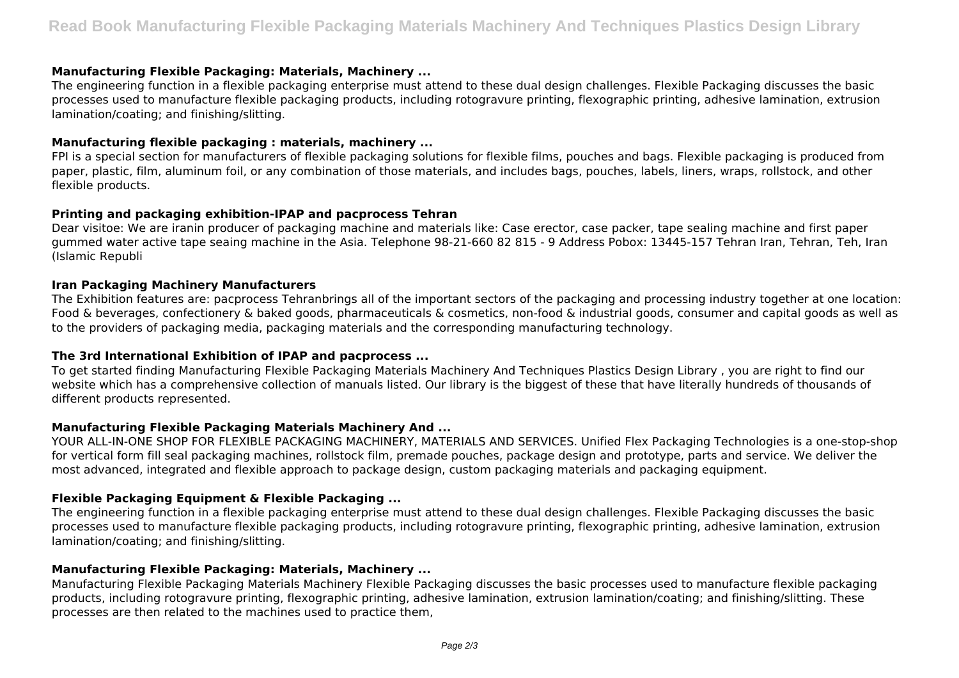#### **Manufacturing Flexible Packaging: Materials, Machinery ...**

The engineering function in a flexible packaging enterprise must attend to these dual design challenges. Flexible Packaging discusses the basic processes used to manufacture flexible packaging products, including rotogravure printing, flexographic printing, adhesive lamination, extrusion lamination/coating; and finishing/slitting.

#### **Manufacturing flexible packaging : materials, machinery ...**

FPI is a special section for manufacturers of flexible packaging solutions for flexible films, pouches and bags. Flexible packaging is produced from paper, plastic, film, aluminum foil, or any combination of those materials, and includes bags, pouches, labels, liners, wraps, rollstock, and other flexible products.

#### **Printing and packaging exhibition-IPAP and pacprocess Tehran**

Dear visitoe: We are iranin producer of packaging machine and materials like: Case erector, case packer, tape sealing machine and first paper gummed water active tape seaing machine in the Asia. Telephone 98-21-660 82 815 - 9 Address Pobox: 13445-157 Tehran Iran, Tehran, Teh, Iran (Islamic Republi

#### **Iran Packaging Machinery Manufacturers**

The Exhibition features are: pacprocess Tehranbrings all of the important sectors of the packaging and processing industry together at one location: Food & beverages, confectionery & baked goods, pharmaceuticals & cosmetics, non-food & industrial goods, consumer and capital goods as well as to the providers of packaging media, packaging materials and the corresponding manufacturing technology.

## **The 3rd International Exhibition of IPAP and pacprocess ...**

To get started finding Manufacturing Flexible Packaging Materials Machinery And Techniques Plastics Design Library , you are right to find our website which has a comprehensive collection of manuals listed. Our library is the biggest of these that have literally hundreds of thousands of different products represented.

## **Manufacturing Flexible Packaging Materials Machinery And ...**

YOUR ALL-IN-ONE SHOP FOR FLEXIBLE PACKAGING MACHINERY, MATERIALS AND SERVICES. Unified Flex Packaging Technologies is a one-stop-shop for vertical form fill seal packaging machines, rollstock film, premade pouches, package design and prototype, parts and service. We deliver the most advanced, integrated and flexible approach to package design, custom packaging materials and packaging equipment.

## **Flexible Packaging Equipment & Flexible Packaging ...**

The engineering function in a flexible packaging enterprise must attend to these dual design challenges. Flexible Packaging discusses the basic processes used to manufacture flexible packaging products, including rotogravure printing, flexographic printing, adhesive lamination, extrusion lamination/coating; and finishing/slitting.

## **Manufacturing Flexible Packaging: Materials, Machinery ...**

Manufacturing Flexible Packaging Materials Machinery Flexible Packaging discusses the basic processes used to manufacture flexible packaging products, including rotogravure printing, flexographic printing, adhesive lamination, extrusion lamination/coating; and finishing/slitting. These processes are then related to the machines used to practice them,